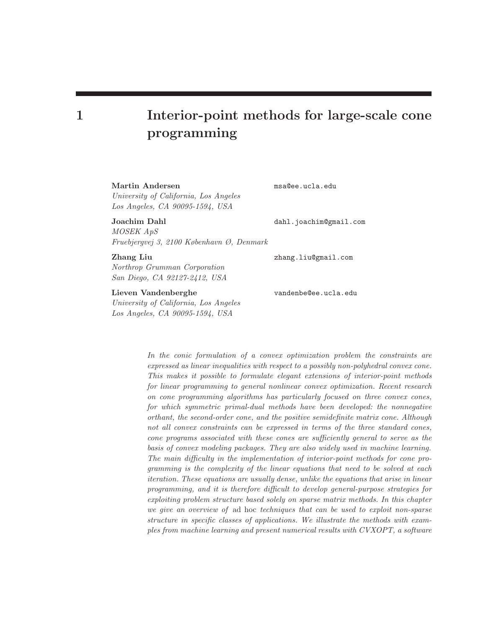# 1 Interior-point methods for large-scale cone programming

## Martin Andersen msa@ee.ucla.edu

University of California, Los Angeles Los Angeles, CA 90095-1594, USA

Joachim Dahl dahl.joachim@gmail.com MOSEK ApS Fruebjergvej 3, 2100 København Ø, Denmark

Northrop Grumman Corporation San Diego, CA 92127-2412, USA

# Lieven Vandenberghe vandenbe@ee.ucla.edu

University of California, Los Angeles Los Angeles, CA 90095-1594, USA

Zhang Liu zhang.liu@gmail.com

In the conic formulation of a convex optimization problem the constraints are expressed as linear inequalities with respect to a possibly non-polyhedral convex cone. This makes it possible to formulate elegant extensions of interior-point methods for linear programming to general nonlinear convex optimization. Recent research on cone programming algorithms has particularly focused on three convex cones, for which symmetric primal-dual methods have been developed: the nonnegative orthant, the second-order cone, and the positive semidefinite matrix cone. Although not all convex constraints can be expressed in terms of the three standard cones, cone programs associated with these cones are sufficiently general to serve as the basis of convex modeling packages. They are also widely used in machine learning. The main difficulty in the implementation of interior-point methods for cone programming is the complexity of the linear equations that need to be solved at each iteration. These equations are usually dense, unlike the equations that arise in linear programming, and it is therefore difficult to develop general-purpose strategies for exploiting problem structure based solely on sparse matrix methods. In this chapter we give an overview of ad hoc techniques that can be used to exploit non-sparse structure in specific classes of applications. We illustrate the methods with examples from machine learning and present numerical results with CVXOPT, a software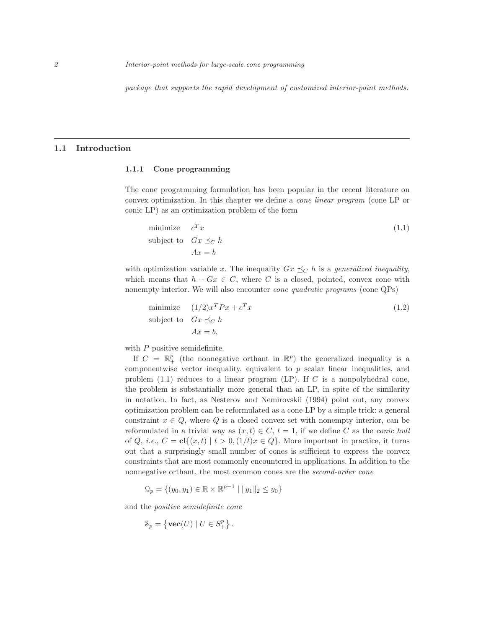package that supports the rapid development of customized interior-point methods.

## 1.1 Introduction

#### 1.1.1 Cone programming

The cone programming formulation has been popular in the recent literature on convex optimization. In this chapter we define a cone linear program (cone LP or conic LP) as an optimization problem of the form

minimize 
$$
c^T x
$$
  
subject to  $Gx \preceq_C h$   
 $Ax = b$  (1.1)

with optimization variable x. The inequality  $Gx \preceq_C h$  is a *generalized inequality*, which means that  $h - Gx \in C$ , where C is a closed, pointed, convex cone with nonempty interior. We will also encounter cone quadratic programs (cone QPs)

minimize 
$$
(1/2)x^T P x + c^T x
$$
  
subject to  $Gx \preceq_C h$   
 $Ax = b$ , (1.2)

with  $P$  positive semidefinite.

If  $C = \mathbb{R}^p_+$  (the nonnegative orthant in  $\mathbb{R}^p$ ) the generalized inequality is a componentwise vector inequality, equivalent to  $p$  scalar linear inequalities, and problem  $(1.1)$  reduces to a linear program  $(LP)$ . If C is a nonpolyhedral cone, the problem is substantially more general than an LP, in spite of the similarity in notation. In fact, as Nesterov and Nemirovskii (1994) point out, any convex optimization problem can be reformulated as a cone LP by a simple trick: a general constraint  $x \in Q$ , where Q is a closed convex set with nonempty interior, can be reformulated in a trivial way as  $(x, t) \in C$ ,  $t = 1$ , if we define C as the *conic hull* of Q, i.e.,  $C = \mathbf{cl}\{(x, t) \mid t > 0, (1/t)x \in Q\}$ . More important in practice, it turns out that a surprisingly small number of cones is sufficient to express the convex constraints that are most commonly encountered in applications. In addition to the nonnegative orthant, the most common cones are the second-order cone

$$
\mathcal{Q}_p = \{(y_0, y_1) \in \mathbb{R} \times \mathbb{R}^{p-1} \mid ||y_1||_2 \le y_0\}
$$

and the positive semidefinite cone

$$
\mathcal{S}_p = \left\{ \textbf{vec}(U) \mid U \in S^p_+ \right\}.
$$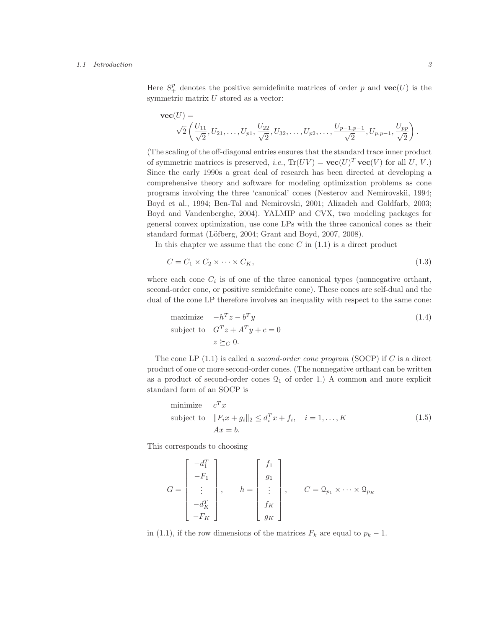#### 1.1 Introduction 3

Here  $S^p_+$  denotes the positive semidefinite matrices of order p and  $\mathbf{vec}(U)$  is the symmetric matrix  $U$  stored as a vector:

$$
\mathbf{vec}(U) = \sqrt{2} \left( \frac{U_{11}}{\sqrt{2}}, U_{21}, \dots, U_{p1}, \frac{U_{22}}{\sqrt{2}}, U_{32}, \dots, U_{p2}, \dots, \frac{U_{p-1,p-1}}{\sqrt{2}}, U_{p,p-1}, \frac{U_{pp}}{\sqrt{2}} \right).
$$

(The scaling of the off-diagonal entries ensures that the standard trace inner product of symmetric matrices is preserved, *i.e.*,  $\text{Tr}(UV) = \text{vec}(U)^T \text{vec}(V)$  for all U, V.) Since the early 1990s a great deal of research has been directed at developing a comprehensive theory and software for modeling optimization problems as cone programs involving the three 'canonical' cones (Nesterov and Nemirovskii, 1994; Boyd et al., 1994; Ben-Tal and Nemirovski, 2001; Alizadeh and Goldfarb, 2003; Boyd and Vandenberghe, 2004). YALMIP and CVX, two modeling packages for general convex optimization, use cone LPs with the three canonical cones as their standard format (Löfberg, 2004; Grant and Boyd, 2007, 2008).

In this chapter we assume that the cone  $C$  in  $(1.1)$  is a direct product

$$
C = C_1 \times C_2 \times \cdots \times C_K,\tag{1.3}
$$

where each cone  $C_i$  is of one of the three canonical types (nonnegative orthant, second-order cone, or positive semidefinite cone). These cones are self-dual and the dual of the cone LP therefore involves an inequality with respect to the same cone:

maximize 
$$
-h^T z - b^T y
$$
  
\nsubject to  $G^T z + A^T y + c = 0$   
\n $z \succeq_C 0$ . (1.4)

The cone LP  $(1.1)$  is called a *second-order cone program* (SOCP) if C is a direct product of one or more second-order cones. (The nonnegative orthant can be written as a product of second-order cones  $\mathcal{Q}_1$  of order 1.) A common and more explicit standard form of an SOCP is

minimize 
$$
c^T x
$$
  
subject to  $||F_i x + g_i||_2 \le d_i^T x + f_i$ ,  $i = 1,..., K$   
 $Ax = b$ . (1.5)

This corresponds to choosing

$$
G = \begin{bmatrix} -d_1^T \\ -F_1 \\ \vdots \\ -d_K^T \\ -F_K \end{bmatrix}, \qquad h = \begin{bmatrix} f_1 \\ g_1 \\ \vdots \\ f_K \\ g_K \end{bmatrix}, \qquad C = \mathcal{Q}_{p_1} \times \cdots \times \mathcal{Q}_{p_K}
$$

in (1.1), if the row dimensions of the matrices  $F_k$  are equal to  $p_k - 1$ .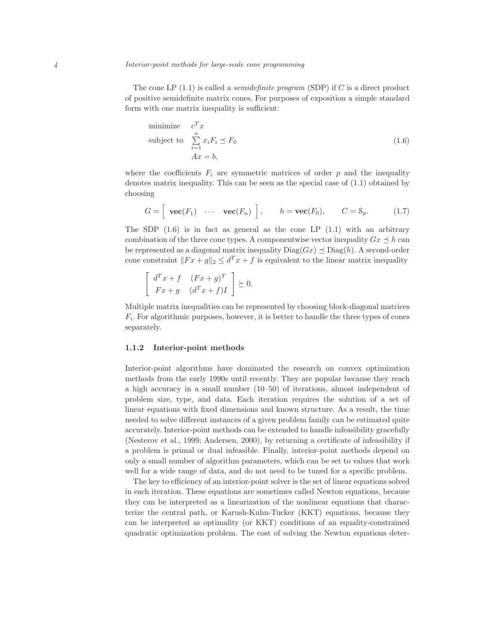The cone LP  $(1.1)$  is called a *semidefinite program* (SDP) if C is a direct product of positive semidefinite matrix cones. For purposes of exposition a simple standard form with one matrix inequality is sufficient:

minimize 
$$
c^T x
$$
  
subject to 
$$
\sum_{i=1}^n x_i F_i \preceq F_0
$$

$$
Ax = b,
$$
 (1.6)

where the coefficients  $F_i$  are symmetric matrices of order p and the inequality denotes matrix inequality. This can be seen as the special case of (1.1) obtained by choosing

$$
G = \left[ \begin{array}{ccc} \mathbf{vec}(F_1) & \cdots & \mathbf{vec}(F_n) \end{array} \right], \qquad h = \mathbf{vec}(F_0), \qquad C = \mathcal{S}_p. \tag{1.7}
$$

The SDP  $(1.6)$  is in fact as general as the cone LP  $(1.1)$  with an arbitrary combination of the three cone types. A componentwise vector inequality  $Gx \leq h$  can be represented as a diagonal matrix inequality  $Diag(Gx) \preceq Diag(h)$ . A second-order cone constraint  $||Fx + g||_2 \le d^T x + f$  is equivalent to the linear matrix inequality

$$
\begin{bmatrix} d^T x + f & (Fx+g)^T \\ Fx+g & (d^T x + f)I \end{bmatrix} \succeq 0.
$$

Multiple matrix inequalities can be represented by choosing block-diagonal matrices  $F_i$ . For algorithmic purposes, however, it is better to handle the three types of cones separately.

#### 1.1.2 Interior-point methods

Interior-point algorithms have dominated the research on convex optimization methods from the early 1990s until recently. They are popular because they reach a high accuracy in a small number (10–50) of iterations, almost independent of problem size, type, and data. Each iteration requires the solution of a set of linear equations with fixed dimensions and known structure. As a result, the time needed to solve different instances of a given problem family can be estimated quite accurately. Interior-point methods can be extended to handle infeasibility gracefully (Nesterov et al., 1999; Andersen, 2000), by returning a certificate of infeasibility if a problem is primal or dual infeasible. Finally, interior-point methods depend on only a small number of algorithm parameters, which can be set to values that work well for a wide range of data, and do not need to be tuned for a specific problem.

The key to efficiency of an interior-point solver is the set of linear equations solved in each iteration. These equations are sometimes called Newton equations, because they can be interpreted as a linearization of the nonlinear equations that characterize the central path, or Karush-Kuhn-Tucker (KKT) equations, because they can be interpreted as optimality (or KKT) conditions of an equality-constrained quadratic optimization problem. The cost of solving the Newton equations deter-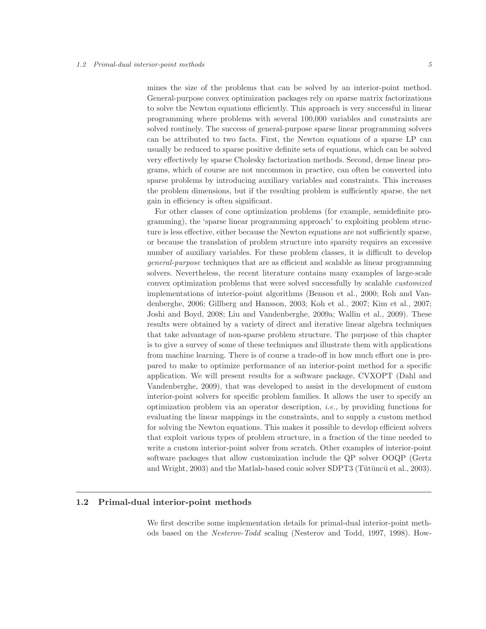mines the size of the problems that can be solved by an interior-point method. General-purpose convex optimization packages rely on sparse matrix factorizations to solve the Newton equations efficiently. This approach is very successful in linear programming where problems with several 100,000 variables and constraints are solved routinely. The success of general-purpose sparse linear programming solvers can be attributed to two facts. First, the Newton equations of a sparse LP can usually be reduced to sparse positive definite sets of equations, which can be solved very effectively by sparse Cholesky factorization methods. Second, dense linear programs, which of course are not uncommon in practice, can often be converted into sparse problems by introducing auxiliary variables and constraints. This increases the problem dimensions, but if the resulting problem is sufficiently sparse, the net gain in efficiency is often significant.

For other classes of cone optimization problems (for example, semidefinite programming), the 'sparse linear programming approach' to exploiting problem structure is less effective, either because the Newton equations are not sufficiently sparse, or because the translation of problem structure into sparsity requires an excessive number of auxiliary variables. For these problem classes, it is difficult to develop general-purpose techniques that are as efficient and scalable as linear programming solvers. Nevertheless, the recent literature contains many examples of large-scale convex optimization problems that were solved successfully by scalable customized implementations of interior-point algorithms (Benson et al., 2000; Roh and Vandenberghe, 2006; Gillberg and Hansson, 2003; Koh et al., 2007; Kim et al., 2007; Joshi and Boyd, 2008; Liu and Vandenberghe, 2009a; Wallin et al., 2009). These results were obtained by a variety of direct and iterative linear algebra techniques that take advantage of non-sparse problem structure. The purpose of this chapter is to give a survey of some of these techniques and illustrate them with applications from machine learning. There is of course a trade-off in how much effort one is prepared to make to optimize performance of an interior-point method for a specific application. We will present results for a software package, CVXOPT (Dahl and Vandenberghe, 2009), that was developed to assist in the development of custom interior-point solvers for specific problem families. It allows the user to specify an optimization problem via an operator description, i.e., by providing functions for evaluating the linear mappings in the constraints, and to supply a custom method for solving the Newton equations. This makes it possible to develop efficient solvers that exploit various types of problem structure, in a fraction of the time needed to write a custom interior-point solver from scratch. Other examples of interior-point software packages that allow customization include the QP solver OOQP (Gertz and Wright,  $2003$ ) and the Matlab-based conic solver SDPT3 (Tütüncü et al.,  $2003$ ).

## 1.2 Primal-dual interior-point methods

We first describe some implementation details for primal-dual interior-point methods based on the Nesterov-Todd scaling (Nesterov and Todd, 1997, 1998). How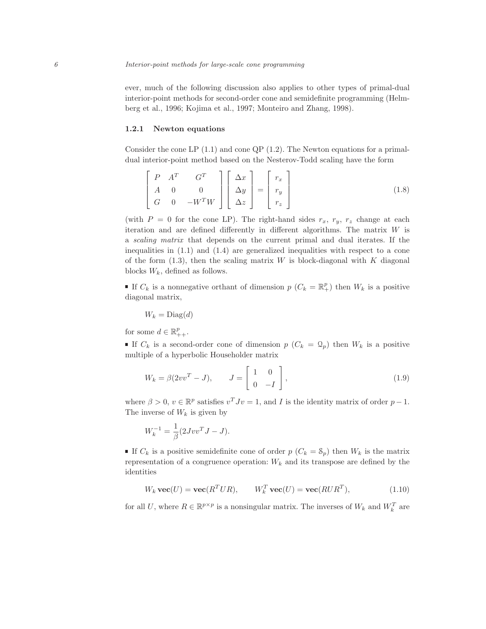ever, much of the following discussion also applies to other types of primal-dual interior-point methods for second-order cone and semidefinite programming (Helmberg et al., 1996; Kojima et al., 1997; Monteiro and Zhang, 1998).

#### 1.2.1 Newton equations

Consider the cone LP  $(1.1)$  and cone QP  $(1.2)$ . The Newton equations for a primaldual interior-point method based on the Nesterov-Todd scaling have the form

$$
\begin{bmatrix} P & A^T & G^T \\ A & 0 & 0 \\ G & 0 & -W^T W \end{bmatrix} \begin{bmatrix} \Delta x \\ \Delta y \\ \Delta z \end{bmatrix} = \begin{bmatrix} r_x \\ r_y \\ r_z \end{bmatrix}
$$
(1.8)

(with  $P = 0$  for the cone LP). The right-hand sides  $r_x$ ,  $r_y$ ,  $r_z$  change at each iteration and are defined differently in different algorithms. The matrix  $W$  is a scaling matrix that depends on the current primal and dual iterates. If the inequalities in (1.1) and (1.4) are generalized inequalities with respect to a cone of the form  $(1.3)$ , then the scaling matrix W is block-diagonal with K diagonal blocks  $W_k$ , defined as follows.

If  $C_k$  is a nonnegative orthant of dimension  $p(C_k = \mathbb{R}^p_+)$  then  $W_k$  is a positive diagonal matrix,

$$
W_k = \text{Diag}(d)
$$

for some  $d \in \mathbb{R}_{++}^p$ .

If  $C_k$  is a second-order cone of dimension  $p(C_k = \mathcal{Q}_p)$  then  $W_k$  is a positive multiple of a hyperbolic Householder matrix

$$
W_k = \beta(2vv^T - J), \qquad J = \begin{bmatrix} 1 & 0 \\ 0 & -I \end{bmatrix}, \tag{1.9}
$$

where  $\beta > 0$ ,  $v \in \mathbb{R}^p$  satisfies  $v^T J v = 1$ , and I is the identity matrix of order  $p - 1$ . The inverse of  $W_k$  is given by

$$
W_k^{-1} = \frac{1}{\beta} (2Jvv^T J - J).
$$

If  $C_k$  is a positive semidefinite cone of order  $p(C_k = S_p)$  then  $W_k$  is the matrix representation of a congruence operation:  $W_k$  and its transpose are defined by the identities

$$
W_k \mathbf{vec}(U) = \mathbf{vec}(R^T U R), \qquad W_k^T \mathbf{vec}(U) = \mathbf{vec}(R U R^T), \tag{1.10}
$$

for all U, where  $R \in \mathbb{R}^{p \times p}$  is a nonsingular matrix. The inverses of  $W_k$  and  $W_k^T$  are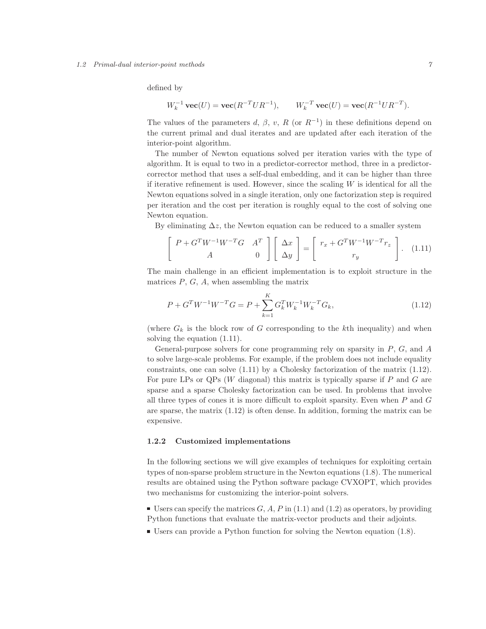## 1.2 Primal-dual interior-point methods 7

defined by

$$
W_k^{-1}
$$
 vec $(U)$  = vec $(R^{-T}UR^{-1})$ ,  $W_k^{-T}$  vec $(U)$  = vec $(R^{-1}UR^{-T})$ .

The values of the parameters d,  $\beta$ , v, R (or  $R^{-1}$ ) in these definitions depend on the current primal and dual iterates and are updated after each iteration of the interior-point algorithm.

The number of Newton equations solved per iteration varies with the type of algorithm. It is equal to two in a predictor-corrector method, three in a predictorcorrector method that uses a self-dual embedding, and it can be higher than three if iterative refinement is used. However, since the scaling  $W$  is identical for all the Newton equations solved in a single iteration, only one factorization step is required per iteration and the cost per iteration is roughly equal to the cost of solving one Newton equation.

By eliminating  $\Delta z$ , the Newton equation can be reduced to a smaller system

$$
\begin{bmatrix}\nP + G^T W^{-1} W^{-T} G & A^T \\
A & 0\n\end{bmatrix}\n\begin{bmatrix}\n\Delta x \\
\Delta y\n\end{bmatrix} =\n\begin{bmatrix}\nr_x + G^T W^{-1} W^{-T} r_z \\
r_y\n\end{bmatrix}.\n\tag{1.11}
$$

The main challenge in an efficient implementation is to exploit structure in the matrices  $P, G, A$ , when assembling the matrix

$$
P + G^T W^{-1} W^{-T} G = P + \sum_{k=1}^{K} G_k^T W_k^{-1} W_k^{-T} G_k,
$$
\n(1.12)

(where  $G_k$  is the block row of G corresponding to the kth inequality) and when solving the equation (1.11).

General-purpose solvers for cone programming rely on sparsity in  $P$ ,  $G$ , and  $A$ to solve large-scale problems. For example, if the problem does not include equality constraints, one can solve (1.11) by a Cholesky factorization of the matrix (1.12). For pure LPs or QPs  $(W$  diagonal) this matrix is typically sparse if  $P$  and  $G$  are sparse and a sparse Cholesky factorization can be used. In problems that involve all three types of cones it is more difficult to exploit sparsity. Even when  $P$  and  $G$ are sparse, the matrix (1.12) is often dense. In addition, forming the matrix can be expensive.

## 1.2.2 Customized implementations

In the following sections we will give examples of techniques for exploiting certain types of non-sparse problem structure in the Newton equations (1.8). The numerical results are obtained using the Python software package CVXOPT, which provides two mechanisms for customizing the interior-point solvers.

- Users can specify the matrices  $G, A, P$  in (1.1) and (1.2) as operators, by providing Python functions that evaluate the matrix-vector products and their adjoints.
- Users can provide a Python function for solving the Newton equation (1.8).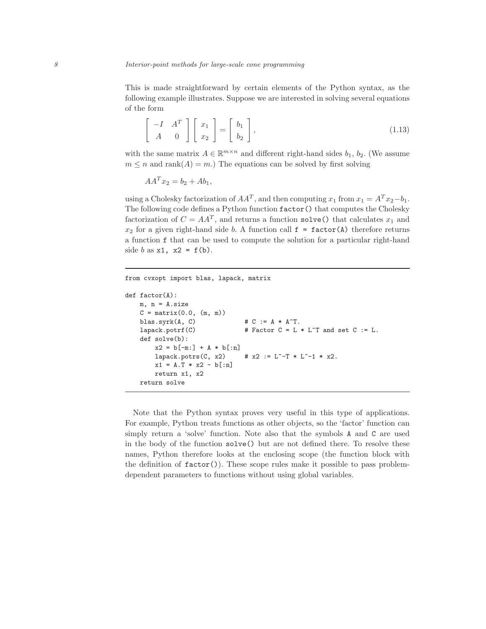This is made straightforward by certain elements of the Python syntax, as the following example illustrates. Suppose we are interested in solving several equations of the form

$$
\begin{bmatrix} -I & A^T \\ A & 0 \end{bmatrix} \begin{bmatrix} x_1 \\ x_2 \end{bmatrix} = \begin{bmatrix} b_1 \\ b_2 \end{bmatrix},
$$
\n(1.13)

with the same matrix  $A \in \mathbb{R}^{m \times n}$  and different right-hand sides  $b_1$ ,  $b_2$ . (We assume  $m \leq n$  and rank $(A) = m$ .) The equations can be solved by first solving

$$
AA^T x_2 = b_2 + Ab_1,
$$

using a Cholesky factorization of  $AA<sup>T</sup>$ , and then computing  $x_1$  from  $x_1 = A<sup>T</sup> x_2 - b_1$ . The following code defines a Python function factor() that computes the Cholesky factorization of  $C = AA^T$ , and returns a function solve() that calculates  $x_1$  and  $x_2$  for a given right-hand side b. A function call  $f = factor(A)$  therefore returns a function f that can be used to compute the solution for a particular right-hand side b as  $x1$ ,  $x2 = f(b)$ .

```
from cvxopt import blas, lapack, matrix
def factor(A):
    m, n = A.size
    C = matrix(0.0, (m, m))blas.syrk(A, C) \qquad \qquad # C := A * A^T.lapack.potrf(C) \qquad # Factor C = L * L<sup>\sim</sup>T and set C := L.
    def solve(b):
        x2 = b[-m!] + A * b[:n]lapack.potrs(C, x2) # x2 := L<sup>\sim-T * L\sim-1 * x2.</sup>
        x1 = A.T * x2 - b[:n]return x1, x2
    return solve
```
Note that the Python syntax proves very useful in this type of applications. For example, Python treats functions as other objects, so the 'factor' function can simply return a 'solve' function. Note also that the symbols A and C are used in the body of the function solve() but are not defined there. To resolve these names, Python therefore looks at the enclosing scope (the function block with the definition of  $factor()$ . These scope rules make it possible to pass problemdependent parameters to functions without using global variables.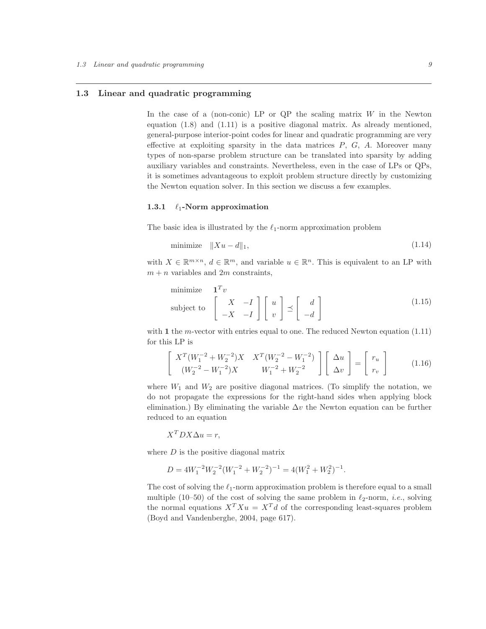## 1.3 Linear and quadratic programming

In the case of a (non-conic) LP or  $QP$  the scaling matrix  $W$  in the Newton equation (1.8) and (1.11) is a positive diagonal matrix. As already mentioned, general-purpose interior-point codes for linear and quadratic programming are very effective at exploiting sparsity in the data matrices  $P, G, A$ . Moreover many types of non-sparse problem structure can be translated into sparsity by adding auxiliary variables and constraints. Nevertheless, even in the case of LPs or QPs, it is sometimes advantageous to exploit problem structure directly by customizing the Newton equation solver. In this section we discuss a few examples.

#### 1.3.1  $\ell_1$ -Norm approximation

The basic idea is illustrated by the  $\ell_1$ -norm approximation problem

$$
\text{minimize} \quad \|Xu - d\|_1,\tag{1.14}
$$

with  $X \in \mathbb{R}^{m \times n}$ ,  $d \in \mathbb{R}^m$ , and variable  $u \in \mathbb{R}^n$ . This is equivalent to an LP with  $m + n$  variables and  $2m$  constraints,

minimize 
$$
\mathbf{1}^T v
$$
  
\nsubject to  $\begin{bmatrix} X & -I \\ -X & -I \end{bmatrix} \begin{bmatrix} u \\ v \end{bmatrix} \preceq \begin{bmatrix} d \\ -d \end{bmatrix}$  (1.15)

with 1 the m-vector with entries equal to one. The reduced Newton equation  $(1.11)$ for this LP is

$$
\begin{bmatrix}\nX^{T}(W_{1}^{-2} + W_{2}^{-2})X & X^{T}(W_{2}^{-2} - W_{1}^{-2}) \\
(W_{2}^{-2} - W_{1}^{-2})X & W_{1}^{-2} + W_{2}^{-2}\n\end{bmatrix}\n\begin{bmatrix}\n\Delta u \\
\Delta v\n\end{bmatrix} =\n\begin{bmatrix}\nr_{u} \\
r_{v}\n\end{bmatrix}
$$
\n(1.16)

where  $W_1$  and  $W_2$  are positive diagonal matrices. (To simplify the notation, we do not propagate the expressions for the right-hand sides when applying block elimination.) By eliminating the variable  $\Delta v$  the Newton equation can be further reduced to an equation

$$
X^TDX\Delta u = r,
$$

where  $D$  is the positive diagonal matrix

$$
D = 4W_1^{-2}W_2^{-2}(W_1^{-2} + W_2^{-2})^{-1} = 4(W_1^2 + W_2^2)^{-1}.
$$

The cost of solving the  $\ell_1$ -norm approximation problem is therefore equal to a small multiple (10–50) of the cost of solving the same problem in  $\ell_2$ -norm, *i.e.*, solving the normal equations  $X^T X u = X^T d$  of the corresponding least-squares problem (Boyd and Vandenberghe, 2004, page 617).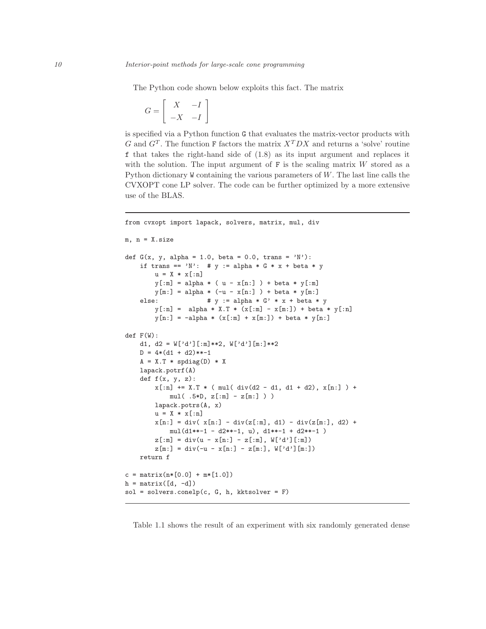The Python code shown below exploits this fact. The matrix

$$
G = \left[ \begin{array}{cc} X & -I \\ -X & -I \end{array} \right]
$$

is specified via a Python function G that evaluates the matrix-vector products with G and  $G<sup>T</sup>$ . The function F factors the matrix  $X<sup>T</sup>DX$  and returns a 'solve' routine f that takes the right-hand side of (1.8) as its input argument and replaces it with the solution. The input argument of  $F$  is the scaling matrix  $W$  stored as a Python dictionary W containing the various parameters of W. The last line calls the CVXOPT cone LP solver. The code can be further optimized by a more extensive use of the BLAS.

```
from cvxopt import lapack, solvers, matrix, mul, div
m, n = X.size
def G(x, y, alpha = 1.0, beta = 0.0, trans = 'N'):
   if trans == 'N': # y := alpha * G * x + beta * y
       u = X * x[:n]y[:m] = alpha * ( u - x[n:] ) + beta * y[:m]
       y[m:] = alpha * (-u - x[n:] ) + beta * y[m:]else: # y := alpha * G' * x + beta * yy[:n] = alpha * X.T * (x[:m] - x[m:]) + beta * y[:n]y[n:] = -alpha1pha * (x[:m] + x[m:]) + beta * y[n:]def F(W):
   d1, d2 = W['d'][:m]**2, W['d'][m:]**2
   D = 4*(d1 + d2)**-1A = X.T * spdiag(D) * Xlapack.potrf(A)
   def f(x, y, z):
        x[:n] += X.T * ( mul( div(d2 - d1, d1 + d2), x[n:]) +
           mul( .5*D, z[::m] - z[m:] ) )lapack.potrs(A, x)
       u = X * x[:n]x[n:] = div( x[n:] - div(z[:,m], d1) - div(z[m:], d2) +mul(d1**-1 - d2**-1, u), d1**-1 + d2**-1)
       z[ := ] = div(u - x[n:] - z[ :=], W['d'][:m])z[m:] = div(-u - x[n:] - z[m:], W['d'] [m:]])return f
c = matrix(n*[0.0] + m*[1.0])h = matrix([d, -d])sol = solvers.conelp(c, G, h, kktsolver = F)
```
Table 1.1 shows the result of an experiment with six randomly generated dense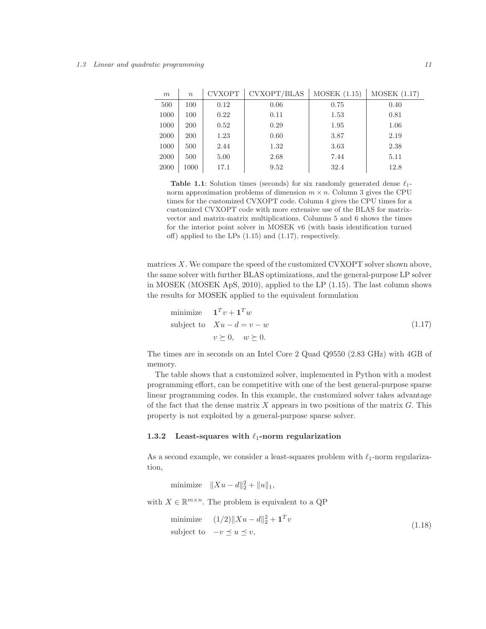#### 1.3 Linear and quadratic programming 11

| m    | $\boldsymbol{n}$ | <b>CVXOPT</b> | CVXOPT/BLAS | MOSEK (1.15) | MOSEK (1.17) |
|------|------------------|---------------|-------------|--------------|--------------|
| 500  | 100              | 0.12          | 0.06        | 0.75         | 0.40         |
| 1000 | 100              | 0.22          | 0.11        | 1.53         | 0.81         |
| 1000 | <b>200</b>       | 0.52          | 0.29        | 1.95         | 1.06         |
| 2000 | <b>200</b>       | 1.23          | 0.60        | 3.87         | 2.19         |
| 1000 | 500              | 2.44          | 1.32        | 3.63         | 2.38         |
| 2000 | 500              | 5.00          | 2.68        | 7.44         | 5.11         |
| 2000 | 1000             | 17.1          | 9.52        | 32.4         | 12.8         |

Table 1.1: Solution times (seconds) for six randomly generated dense  $\ell_1$ norm approximation problems of dimension  $m \times n$ . Column 3 gives the CPU times for the customized CVXOPT code. Column 4 gives the CPU times for a customized CVXOPT code with more extensive use of the BLAS for matrixvector and matrix-matrix multiplications. Columns 5 and 6 shows the times for the interior point solver in MOSEK v6 (with basis identification turned off) applied to the LPs (1.15) and (1.17), respectively.

matrices  $X$ . We compare the speed of the customized CVXOPT solver shown above, the same solver with further BLAS optimizations, and the general-purpose LP solver in MOSEK (MOSEK ApS, 2010), applied to the LP (1.15). The last column shows the results for MOSEK applied to the equivalent formulation

minimize 
$$
\mathbf{1}^T v + \mathbf{1}^T w
$$
  
subject to  $Xu - d = v - w$   
 $v \succeq 0, \quad w \succeq 0.$  (1.17)

The times are in seconds on an Intel Core 2 Quad Q9550 (2.83 GHz) with 4GB of memory.

The table shows that a customized solver, implemented in Python with a modest programming effort, can be competitive with one of the best general-purpose sparse linear programming codes. In this example, the customized solver takes advantage of the fact that the dense matrix  $X$  appears in two positions of the matrix  $G$ . This property is not exploited by a general-purpose sparse solver.

# 1.3.2 Least-squares with  $\ell_1$ -norm regularization

As a second example, we consider a least-squares problem with  $\ell_1$ -norm regularization,

minimize  $||Xu - d||_2^2 + ||u||_1$ ,

with  $X \in \mathbb{R}^{m \times n}$ . The problem is equivalent to a QP

$$
\begin{array}{ll}\text{minimize} & (1/2) \| Xu - d \|_2^2 + \mathbf{1}^T v\\ \text{subject to} & -v \le u \le v,\end{array} \tag{1.18}
$$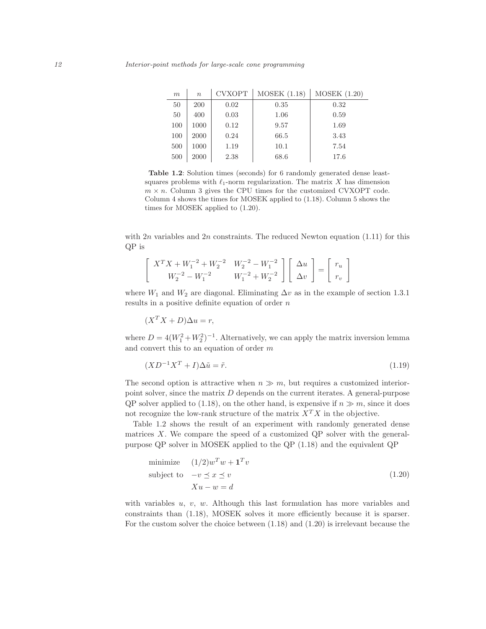| m   | $\boldsymbol{n}$ | <b>CVXOPT</b> | <b>MOSEK (1.18)</b> | MOSEK (1.20) |
|-----|------------------|---------------|---------------------|--------------|
| 50  | 200              | 0.02          | 0.35                | 0.32         |
| 50  | 400              | 0.03          | 1.06                | 0.59         |
| 100 | 1000             | 0.12          | 9.57                | 1.69         |
| 100 | 2000             | 0.24          | 66.5                | 3.43         |
| 500 | 1000             | 1.19          | 10.1                | 7.54         |
| 500 | 2000             | 2.38          | 68.6                | 17.6         |

Table 1.2: Solution times (seconds) for 6 randomly generated dense leastsquares problems with  $\ell_1$ -norm regularization. The matrix X has dimension  $m \times n$ . Column 3 gives the CPU times for the customized CVXOPT code. Column 4 shows the times for MOSEK applied to (1.18). Column 5 shows the times for MOSEK applied to (1.20).

with  $2n$  variables and  $2n$  constraints. The reduced Newton equation (1.11) for this QP is

$$
\begin{bmatrix} X^T X + W_1^{-2} + W_2^{-2} & W_2^{-2} - W_1^{-2} \ W_2^{-2} - W_1^{-2} & W_1^{-2} + W_2^{-2} \end{bmatrix} \begin{bmatrix} \Delta u \\ \Delta v \end{bmatrix} = \begin{bmatrix} r_u \\ r_v \end{bmatrix}
$$

where  $W_1$  and  $W_2$  are diagonal. Eliminating  $\Delta v$  as in the example of section 1.3.1 results in a positive definite equation of order  $n$ 

 $(X^T X + D)\Delta u = r$ ,

where  $D = 4(W_1^2 + W_2^2)^{-1}$ . Alternatively, we can apply the matrix inversion lemma and convert this to an equation of order m

$$
(XD^{-1}X^T + I)\Delta \tilde{u} = \tilde{r}.\tag{1.19}
$$

The second option is attractive when  $n \gg m$ , but requires a customized interiorpoint solver, since the matrix  $D$  depends on the current iterates. A general-purpose QP solver applied to (1.18), on the other hand, is expensive if  $n \gg m$ , since it does not recognize the low-rank structure of the matrix  $X^T X$  in the objective.

Table 1.2 shows the result of an experiment with randomly generated dense matrices  $X$ . We compare the speed of a customized QP solver with the generalpurpose QP solver in MOSEK applied to the QP (1.18) and the equivalent QP

minimize 
$$
(1/2)w^Tw + \mathbf{1}^T v
$$
  
subject to  $-v \le x \le v$   
 $Xu - w = d$  (1.20)

with variables  $u, v, w$ . Although this last formulation has more variables and constraints than (1.18), MOSEK solves it more efficiently because it is sparser. For the custom solver the choice between (1.18) and (1.20) is irrelevant because the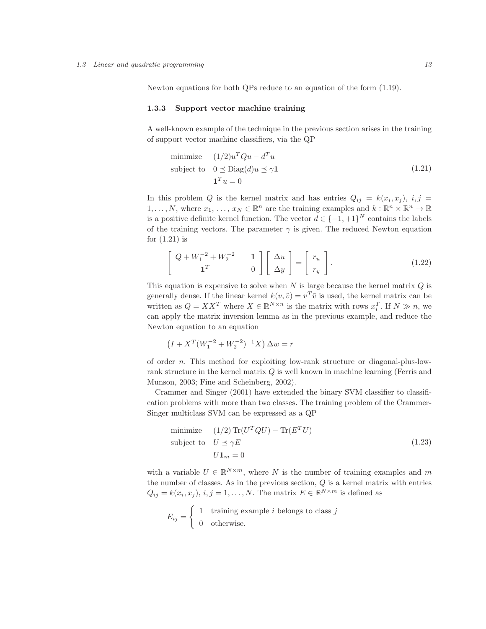Newton equations for both QPs reduce to an equation of the form (1.19).

#### 1.3.3 Support vector machine training

A well-known example of the technique in the previous section arises in the training of support vector machine classifiers, via the QP

minimize 
$$
(1/2)u^T Qu - d^T u
$$
  
subject to  $0 \leq \text{Diag}(d)u \leq \gamma \mathbf{1}$   
 $\mathbf{1}^T u = 0$  (1.21)

In this problem Q is the kernel matrix and has entries  $Q_{ij} = k(x_i, x_j), i, j =$  $1, \ldots, N$ , where  $x_1, \ldots, x_N \in \mathbb{R}^n$  are the training examples and  $k : \mathbb{R}^n \times \mathbb{R}^n \to \mathbb{R}$ is a positive definite kernel function. The vector  $d \in \{-1, +1\}^N$  contains the labels of the training vectors. The parameter  $\gamma$  is given. The reduced Newton equation for (1.21) is

$$
\begin{bmatrix} Q + W_1^{-2} + W_2^{-2} & 1 \ 1^T & 0 \end{bmatrix} \begin{bmatrix} \Delta u \\ \Delta y \end{bmatrix} = \begin{bmatrix} r_u \\ r_y \end{bmatrix}.
$$
 (1.22)

This equation is expensive to solve when  $N$  is large because the kernel matrix  $Q$  is generally dense. If the linear kernel  $k(v, \tilde{v}) = v^T \tilde{v}$  is used, the kernel matrix can be written as  $Q = XX^T$  where  $X \in \mathbb{R}^{N \times n}$  is the matrix with rows  $x_i^T$ . If  $N \gg n$ , we can apply the matrix inversion lemma as in the previous example, and reduce the Newton equation to an equation

$$
(I + X^T(W_1^{-2} + W_2^{-2})^{-1}X) \Delta w = r
$$

of order n. This method for exploiting low-rank structure or diagonal-plus-lowrank structure in the kernel matrix Q is well known in machine learning (Ferris and Munson, 2003; Fine and Scheinberg, 2002).

Crammer and Singer (2001) have extended the binary SVM classifier to classification problems with more than two classes. The training problem of the Crammer-Singer multiclass SVM can be expressed as a QP

minimize 
$$
(1/2) \text{Tr}(U^T QU) - \text{Tr}(E^T U)
$$
  
subject to  $U \preceq \gamma E$   
 $U\mathbf{1}_m = 0$  (1.23)

with a variable  $U \in \mathbb{R}^{N \times m}$ , where N is the number of training examples and m the number of classes. As in the previous section,  $Q$  is a kernel matrix with entries  $Q_{ij} = k(x_i, x_j), i, j = 1, ..., N$ . The matrix  $E \in \mathbb{R}^{N \times m}$  is defined as

$$
E_{ij} = \begin{cases} 1 & \text{training example } i \text{ belongs to class } j \\ 0 & \text{otherwise.} \end{cases}
$$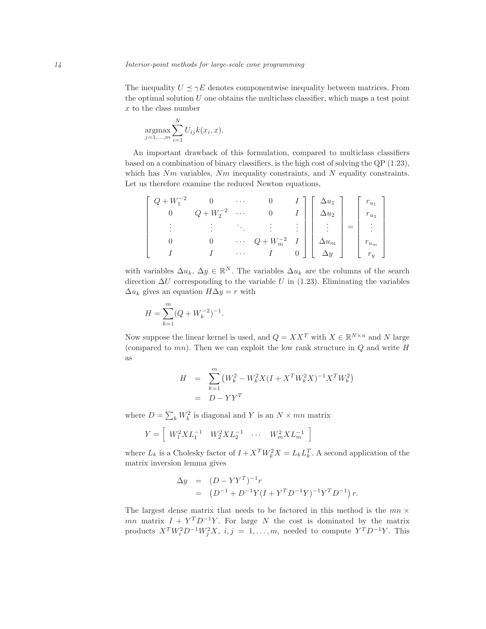The inequality  $U \preceq \gamma E$  denotes componentwise inequality between matrices. From the optimal solution  $U$  one obtains the multiclass classifier, which maps a test point  $x$  to the class number

$$
\underset{j=1,...,m}{\operatorname{argmax}} \sum_{i=1}^{N} U_{ij} k(x_i,x).
$$

An important drawback of this formulation, compared to multiclass classifiers based on a combination of binary classifiers, is the high cost of solving the QP (1.23), which has  $Nm$  variables,  $Nm$  inequality constraints, and N equality constraints. Let us therefore examine the reduced Newton equations,

| $Q+W_1^{-2}$ |                     |                 |                                                                                                                                                                                                               |  |  |  |
|--------------|---------------------|-----------------|---------------------------------------------------------------------------------------------------------------------------------------------------------------------------------------------------------------|--|--|--|
|              | $Q+W_2^{-2} \cdots$ |                 |                                                                                                                                                                                                               |  |  |  |
|              |                     |                 | $Q + W_m^{-2}$ $I$ $\begin{bmatrix} \Delta u_1 \\ \Delta u_2 \\ \vdots \\ \Delta u_m \\ \Delta u_m \end{bmatrix} = \begin{bmatrix} \cdot & u_1 \\ r_{u_2} \\ \vdots \\ \cdot \\ r_{u_m} \\ r_y \end{bmatrix}$ |  |  |  |
|              |                     |                 |                                                                                                                                                                                                               |  |  |  |
|              |                     | $\sim$ . $\sim$ |                                                                                                                                                                                                               |  |  |  |

with variables  $\Delta u_k$ ,  $\Delta y \in \mathbb{R}^N$ . The variables  $\Delta u_k$  are the columns of the search direction  $\Delta U$  corresponding to the variable U in (1.23). Eliminating the variables  $\Delta u_k$  gives an equation  $H\Delta y = r$  with

$$
H = \sum_{k=1}^{m} (Q + W_k^{-2})^{-1}.
$$

Now suppose the linear kernel is used, and  $Q = XX^T$  with  $X \in \mathbb{R}^{N \times n}$  and N large (compared to  $mn$ ). Then we can exploit the low rank structure in  $Q$  and write  $H$ as

$$
H = \sum_{k=1}^{m} (W_k^2 - W_k^2 X (I + X^T W_k^2 X)^{-1} X^T W_k^2)
$$
  
= 
$$
D - Y Y^T
$$

where  $D = \sum_{k} W_k^2$  is diagonal and Y is an  $N \times mn$  matrix

$$
Y = \left[ \begin{array}{cc} W_1^2 X L_1^{-1} & W_2^2 X L_2^{-1} & \cdots & W_m^2 X L_m^{-1} \end{array} \right]
$$

where  $L_k$  is a Cholesky factor of  $I + X^T W_k^2 X = L_k L_k^T$ . A second application of the matrix inversion lemma gives

$$
\Delta y = (D - YY^T)^{-1}r
$$
  
=  $(D^{-1} + D^{-1}Y(I + Y^TD^{-1}Y)^{-1}Y^TD^{-1})r$ .

The largest dense matrix that needs to be factored in this method is the  $mn \times$ mn matrix  $I + Y^T D^{-1} Y$ . For large N the cost is dominated by the matrix products  $X^T W_i^2 D^{-1} W_j^2 X$ ,  $i, j = 1, ..., m$ , needed to compute  $Y^T D^{-1} Y$ . This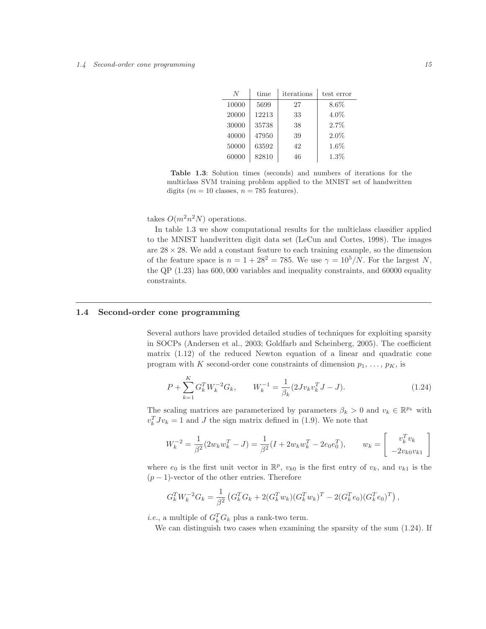| N     | time  | iterations | test error |
|-------|-------|------------|------------|
| 10000 | 5699  | 27         | $8.6\%$    |
| 20000 | 12213 | 33         | $4.0\%$    |
| 30000 | 35738 | 38         | 2.7%       |
| 40000 | 47950 | 39         | $2.0\%$    |
| 50000 | 63592 | 42         | $1.6\%$    |
| 60000 | 82810 | 46         | 1.3%       |

Table 1.3: Solution times (seconds) and numbers of iterations for the multiclass SVM training problem applied to the MNIST set of handwritten digits ( $m = 10$  classes,  $n = 785$  features).

takes  $O(m^2n^2N)$  operations.

In table 1.3 we show computational results for the multiclass classifier applied to the MNIST handwritten digit data set (LeCun and Cortes, 1998). The images are  $28 \times 28$ . We add a constant feature to each training example, so the dimension of the feature space is  $n = 1 + 28^2 = 785$ . We use  $\gamma = 10^5/N$ . For the largest N, the QP (1.23) has 600, 000 variables and inequality constraints, and 60000 equality constraints.

# 1.4 Second-order cone programming

Several authors have provided detailed studies of techniques for exploiting sparsity in SOCPs (Andersen et al., 2003; Goldfarb and Scheinberg, 2005). The coefficient matrix  $(1.12)$  of the reduced Newton equation of a linear and quadratic cone program with K second-order cone constraints of dimension  $p_1, \ldots, p_K$ , is

$$
P + \sum_{k=1}^{K} G_k^T W_k^{-2} G_k, \qquad W_k^{-1} = \frac{1}{\beta_k} (2J v_k v_k^T J - J). \tag{1.24}
$$

The scaling matrices are parameterized by parameters  $\beta_k > 0$  and  $v_k \in \mathbb{R}^{p_k}$  with  $v_k^T J v_k = 1$  and J the sign matrix defined in (1.9). We note that

$$
W_k^{-2} = \frac{1}{\beta^2} (2w_k w_k^T - J) = \frac{1}{\beta^2} (I + 2w_k w_k^T - 2e_0 e_0^T), \qquad w_k = \begin{bmatrix} v_k^T v_k \\ -2v_k v_k v_k \end{bmatrix}
$$

where  $e_0$  is the first unit vector in  $\mathbb{R}^p$ ,  $v_{k0}$  is the first entry of  $v_k$ , and  $v_{k1}$  is the  $(p-1)$ -vector of the other entries. Therefore

$$
G_k^T W_k^{-2} G_k = \frac{1}{\beta^2} \left( G_k^T G_k + 2(G_k^T w_k) (G_k^T w_k)^T - 2(G_k^T e_0) (G_k^T e_0)^T \right),
$$

*i.e.*, a multiple of  $G_k^T G_k$  plus a rank-two term.

We can distinguish two cases when examining the sparsity of the sum (1.24). If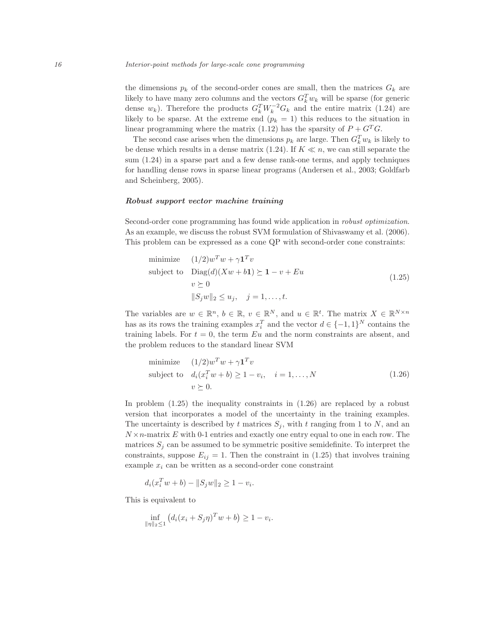the dimensions  $p_k$  of the second-order cones are small, then the matrices  $G_k$  are likely to have many zero columns and the vectors  $G_k^T w_k$  will be sparse (for generic dense  $w_k$ ). Therefore the products  $G_k^T W_k^{-2} G_k$  and the entire matrix (1.24) are likely to be sparse. At the extreme end  $(p_k = 1)$  this reduces to the situation in linear programming where the matrix (1.12) has the sparsity of  $P + G^T G$ .

The second case arises when the dimensions  $p_k$  are large. Then  $G_k^T w_k$  is likely to be dense which results in a dense matrix (1.24). If  $K \ll n$ , we can still separate the sum (1.24) in a sparse part and a few dense rank-one terms, and apply techniques for handling dense rows in sparse linear programs (Andersen et al., 2003; Goldfarb and Scheinberg, 2005).

## Robust support vector machine training

Second-order cone programming has found wide application in robust optimization. As an example, we discuss the robust SVM formulation of Shivaswamy et al. (2006). This problem can be expressed as a cone QP with second-order cone constraints:

minimize 
$$
(1/2)w^T w + \gamma \mathbf{1}^T v
$$
  
\nsubject to  $\text{Diag}(d)(Xw + b\mathbf{1}) \succeq \mathbf{1} - v + Eu$   
\n $v \succeq 0$   
\n $||S_j w||_2 \leq u_j, \quad j = 1, ..., t.$  (1.25)

The variables are  $w \in \mathbb{R}^n$ ,  $b \in \mathbb{R}$ ,  $v \in \mathbb{R}^N$ , and  $u \in \mathbb{R}^t$ . The matrix  $X \in \mathbb{R}^{N \times n}$ has as its rows the training examples  $x_i^T$  and the vector  $d \in \{-1,1\}^N$  contains the training labels. For  $t = 0$ , the term Eu and the norm constraints are absent, and the problem reduces to the standard linear SVM

minimize 
$$
(1/2)w^Tw + \gamma \mathbf{1}^T v
$$
  
\nsubject to  $d_i(x_i^Tw + b) \ge 1 - v_i$ ,  $i = 1,..., N$   
\n $v \succeq 0$ . (1.26)

In problem (1.25) the inequality constraints in (1.26) are replaced by a robust version that incorporates a model of the uncertainty in the training examples. The uncertainty is described by t matrices  $S_i$ , with t ranging from 1 to N, and an  $N \times n$ -matrix E with 0-1 entries and exactly one entry equal to one in each row. The matrices  $S_j$  can be assumed to be symmetric positive semidefinite. To interpret the constraints, suppose  $E_{ij} = 1$ . Then the constraint in (1.25) that involves training example  $x_i$  can be written as a second-order cone constraint

$$
d_i(x_i^T w + b) - ||S_j w||_2 \ge 1 - v_i.
$$

This is equivalent to

$$
\inf_{\|\eta\|_2 \le 1} (d_i(x_i + S_j \eta)^T w + b) \ge 1 - v_i.
$$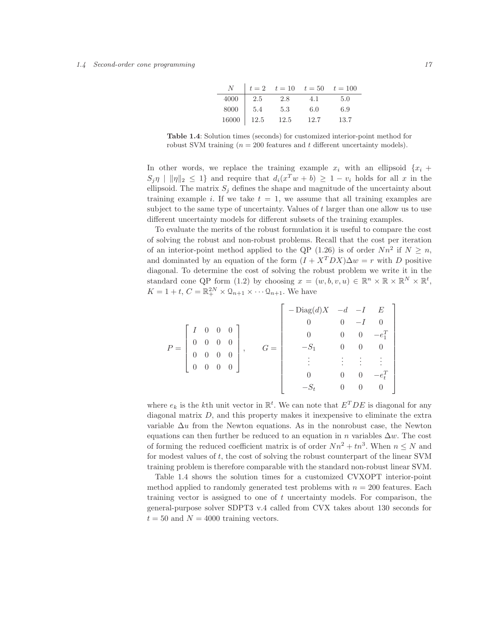| N     |      |      | $t = 2$ $t = 10$ $t = 50$ $t = 100$ |      |
|-------|------|------|-------------------------------------|------|
| 4000  | 2.5  | 2.8  | 4.1                                 | 5.0  |
| 8000  | 5.4  | 5.3  | 6.0                                 | 6.9  |
| 16000 | 12.5 | 12.5 | 12.7                                | 13.7 |

Table 1.4: Solution times (seconds) for customized interior-point method for robust SVM training  $(n = 200$  features and t different uncertainty models).

In other words, we replace the training example  $x_i$  with an ellipsoid  $\{x_i +$  $S_j \eta \mid ||\eta||_2 \leq 1$  and require that  $d_i(x^T w + b) \geq 1 - v_i$  holds for all x in the ellipsoid. The matrix  $S_i$  defines the shape and magnitude of the uncertainty about training example i. If we take  $t = 1$ , we assume that all training examples are subject to the same type of uncertainty. Values of t larger than one allow us to use different uncertainty models for different subsets of the training examples.

To evaluate the merits of the robust formulation it is useful to compare the cost of solving the robust and non-robust problems. Recall that the cost per iteration of an interior-point method applied to the QP  $(1.26)$  is of order  $Nn^2$  if  $N \geq n$ , and dominated by an equation of the form  $(I + X<sup>T</sup>DX)\Delta w = r$  with D positive diagonal. To determine the cost of solving the robust problem we write it in the standard cone QP form (1.2) by choosing  $x = (w, b, v, u) \in \mathbb{R}^n \times \mathbb{R} \times \mathbb{R}^N \times \mathbb{R}^t$ ,  $K = 1 + t$ ,  $C = \mathbb{R}_+^{2N} \times \mathbb{Q}_{n+1} \times \cdots \mathbb{Q}_{n+1}$ . We have

|       |                                                                |  |                                                                     |           |          | $-\text{Diag}(d)X$ $-d$ $-I$ $E$ |                |                |                |
|-------|----------------------------------------------------------------|--|---------------------------------------------------------------------|-----------|----------|----------------------------------|----------------|----------------|----------------|
|       |                                                                |  |                                                                     |           |          |                                  | $\overline{0}$ |                | $\overline{0}$ |
| $P =$ | $\left[ \begin{array}{cccc} I & 0 & 0 & 0 \end{array} \right]$ |  |                                                                     | $\vert$ , | $=$ $\,$ |                                  |                | $\overline{0}$ | $-e_1^T$       |
|       | $\overline{0}$                                                 |  |                                                                     |           |          |                                  |                |                |                |
|       | $\theta$                                                       |  | $\begin{array}{cc} 0 & 0 & 0 \\ 0 & 0 & 0 \\ 0 & 0 & 0 \end{array}$ |           |          |                                  |                |                |                |
|       | $\begin{bmatrix} 0 \end{bmatrix}$                              |  |                                                                     |           |          |                                  |                |                |                |
|       |                                                                |  |                                                                     |           |          |                                  |                |                |                |
|       |                                                                |  |                                                                     |           |          |                                  |                |                |                |

where  $e_k$  is the k<sup>th</sup> unit vector in  $\mathbb{R}^t$ . We can note that  $E^TDE$  is diagonal for any diagonal matrix  $D$ , and this property makes it inexpensive to eliminate the extra variable  $\Delta u$  from the Newton equations. As in the nonrobust case, the Newton equations can then further be reduced to an equation in n variables  $\Delta w$ . The cost of forming the reduced coefficient matrix is of order  $Nn^2 + tn^3$ . When  $n \leq N$  and for modest values of t, the cost of solving the robust counterpart of the linear SVM training problem is therefore comparable with the standard non-robust linear SVM.

Table 1.4 shows the solution times for a customized CVXOPT interior-point method applied to randomly generated test problems with  $n = 200$  features. Each training vector is assigned to one of  $t$  uncertainty models. For comparison, the general-purpose solver SDPT3 v.4 called from CVX takes about 130 seconds for  $t = 50$  and  $N = 4000$  training vectors.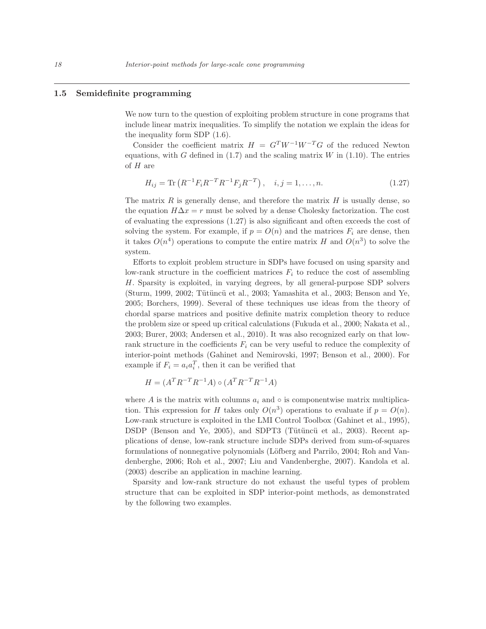#### 1.5 Semidefinite programming

We now turn to the question of exploiting problem structure in cone programs that include linear matrix inequalities. To simplify the notation we explain the ideas for the inequality form SDP (1.6).

Consider the coefficient matrix  $H = G<sup>T</sup>W<sup>-1</sup>W<sup>-T</sup>G$  of the reduced Newton equations, with G defined in  $(1.7)$  and the scaling matrix W in  $(1.10)$ . The entries of  $H$  are

$$
H_{ij} = \text{Tr}\left(R^{-1}F_iR^{-T}R^{-1}F_jR^{-T}\right), \quad i, j = 1, \dots, n. \tag{1.27}
$$

The matrix  $R$  is generally dense, and therefore the matrix  $H$  is usually dense, so the equation  $H\Delta x = r$  must be solved by a dense Cholesky factorization. The cost of evaluating the expressions (1.27) is also significant and often exceeds the cost of solving the system. For example, if  $p = O(n)$  and the matrices  $F_i$  are dense, then it takes  $O(n^4)$  operations to compute the entire matrix H and  $O(n^3)$  to solve the system.

Efforts to exploit problem structure in SDPs have focused on using sparsity and low-rank structure in the coefficient matrices  $F_i$  to reduce the cost of assembling H. Sparsity is exploited, in varying degrees, by all general-purpose SDP solvers (Sturm, 1999, 2002; Tütüncü et al., 2003; Yamashita et al., 2003; Benson and Ye, 2005; Borchers, 1999). Several of these techniques use ideas from the theory of chordal sparse matrices and positive definite matrix completion theory to reduce the problem size or speed up critical calculations (Fukuda et al., 2000; Nakata et al., 2003; Burer, 2003; Andersen et al., 2010). It was also recognized early on that lowrank structure in the coefficients  $F_i$  can be very useful to reduce the complexity of interior-point methods (Gahinet and Nemirovski, 1997; Benson et al., 2000). For example if  $F_i = a_i a_i^T$ , then it can be verified that

$$
H = (A^T R^{-T} R^{-1} A) \circ (A^T R^{-T} R^{-1} A)
$$

where A is the matrix with columns  $a_i$  and  $\circ$  is componentwise matrix multiplication. This expression for H takes only  $O(n^3)$  operations to evaluate if  $p = O(n)$ . Low-rank structure is exploited in the LMI Control Toolbox (Gahinet et al., 1995), DSDP (Benson and Ye, 2005), and SDPT3 (Tütüncü et al., 2003). Recent applications of dense, low-rank structure include SDPs derived from sum-of-squares formulations of nonnegative polynomials (Löfberg and Parrilo, 2004; Roh and Vandenberghe, 2006; Roh et al., 2007; Liu and Vandenberghe, 2007). Kandola et al. (2003) describe an application in machine learning.

Sparsity and low-rank structure do not exhaust the useful types of problem structure that can be exploited in SDP interior-point methods, as demonstrated by the following two examples.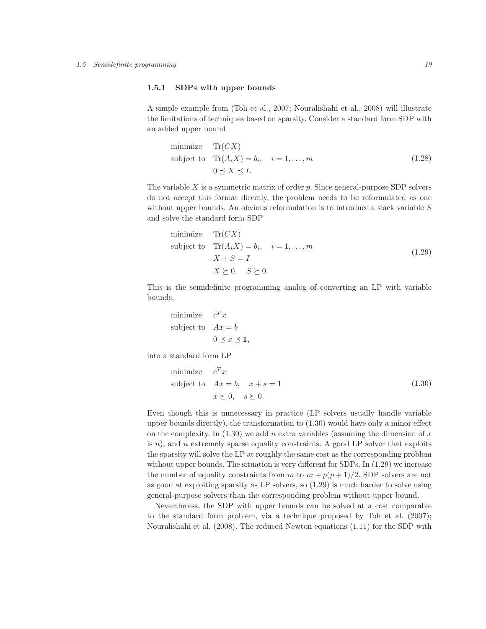## 1.5.1 SDPs with upper bounds

A simple example from (Toh et al., 2007; Nouralishahi et al., 2008) will illustrate the limitations of techniques based on sparsity. Consider a standard form SDP with an added upper bound

minimize 
$$
\text{Tr}(CX)
$$
  
subject to  $\text{Tr}(A_iX) = b_i, \quad i = 1,...,m$   
 $0 \le X \le I.$  (1.28)

The variable  $X$  is a symmetric matrix of order  $p$ . Since general-purpose SDP solvers do not accept this format directly, the problem needs to be reformulated as one without upper bounds. An obvious reformulation is to introduce a slack variable  $S$ and solve the standard form SDP

minimize 
$$
\text{Tr}(CX)
$$
  
\nsubject to  $\text{Tr}(A_iX) = b_i, \quad i = 1,..., m$   
\n $X + S = I$   
\n $X \succeq 0, \quad S \succeq 0.$  (1.29)

This is the semidefinite programming analog of converting an LP with variable bounds,

minimize 
$$
c^T x
$$
  
subject to  $Ax = b$   
 $0 \le x \le 1$ ,

into a standard form LP

minimize 
$$
c^T x
$$
  
subject to  $Ax = b$ ,  $x + s = 1$   
 $x \succeq 0$ ,  $s \succeq 0$ . (1.30)

Even though this is unnecessary in practice (LP solvers usually handle variable upper bounds directly), the transformation to (1.30) would have only a minor effect on the complexity. In  $(1.30)$  we add n extra variables (assuming the dimension of x is  $n$ ), and n extremely sparse equality constraints. A good LP solver that exploits the sparsity will solve the LP at roughly the same cost as the corresponding problem without upper bounds. The situation is very different for SDPs. In  $(1.29)$  we increase the number of equality constraints from m to  $m + p(p + 1)/2$ . SDP solvers are not as good at exploiting sparsity as LP solvers, so (1.29) is much harder to solve using general-purpose solvers than the corresponding problem without upper bound.

Nevertheless, the SDP with upper bounds can be solved at a cost comparable to the standard form problem, via a technique proposed by Toh et al. (2007); Nouralishahi et al. (2008). The reduced Newton equations (1.11) for the SDP with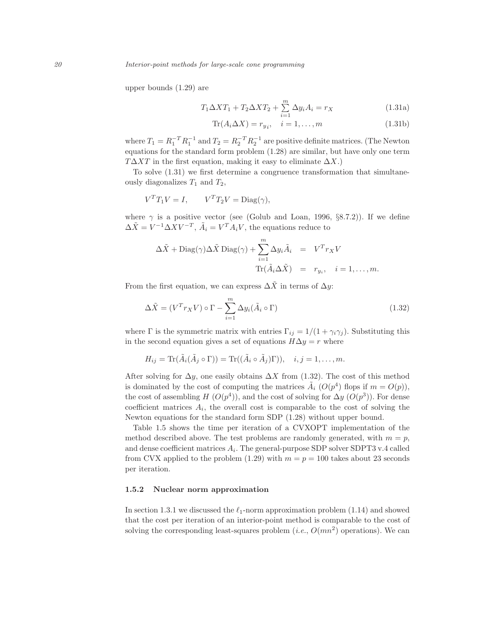upper bounds (1.29) are

$$
T_1 \Delta X T_1 + T_2 \Delta X T_2 + \sum_{i=1}^{m} \Delta y_i A_i = r_X
$$
 (1.31a)

$$
\text{Tr}(A_i \Delta X) = r_{y_i}, \quad i = 1, \dots, m \tag{1.31b}
$$

where  $T_1 = R_1^{-T} R_1^{-1}$  and  $T_2 = R_2^{-T} R_2^{-1}$  are positive definite matrices. (The Newton equations for the standard form problem (1.28) are similar, but have only one term  $T\Delta XT$  in the first equation, making it easy to eliminate  $\Delta X$ .)

To solve (1.31) we first determine a congruence transformation that simultaneously diagonalizes  $T_1$  and  $T_2$ ,

$$
V^T T_1 V = I, \qquad V^T T_2 V = \text{Diag}(\gamma),
$$

where  $\gamma$  is a positive vector (see (Golub and Loan, 1996, §8.7.2)). If we define  $\Delta \tilde{X} = V^{-1} \Delta X V^{-T}, \tilde{A}_i = V^T A_i V$ , the equations reduce to

$$
\Delta \tilde{X} + \text{Diag}(\gamma) \Delta \tilde{X} \text{Diag}(\gamma) + \sum_{i=1}^{m} \Delta y_i \tilde{A}_i = V^T r_X V
$$
  

$$
\text{Tr}(\tilde{A}_i \Delta \tilde{X}) = r_{y_i}, \quad i = 1, ..., m.
$$

From the first equation, we can express  $\Delta \tilde{X}$  in terms of  $\Delta y$ :

$$
\Delta \tilde{X} = (V^T r_X V) \circ \Gamma - \sum_{i=1}^m \Delta y_i (\tilde{A}_i \circ \Gamma)
$$
\n(1.32)

where Γ is the symmetric matrix with entries  $\Gamma_{ij} = 1/(1 + \gamma_i \gamma_j)$ . Substituting this in the second equation gives a set of equations  $H\Delta y = r$  where

$$
H_{ij} = \text{Tr}(\tilde{A}_i(\tilde{A}_j \circ \Gamma)) = \text{Tr}((\tilde{A}_i \circ \tilde{A}_j)\Gamma)), \quad i, j = 1, \dots, m.
$$

After solving for  $\Delta y$ , one easily obtains  $\Delta X$  from (1.32). The cost of this method is dominated by the cost of computing the matrices  $\tilde{A}_i$  ( $O(p^4)$ ) flops if  $m = O(p)$ ), the cost of assembling  $H(O(p^4))$ , and the cost of solving for  $\Delta y$   $(O(p^3))$ . For dense coefficient matrices  $A_i$ , the overall cost is comparable to the cost of solving the Newton equations for the standard form SDP (1.28) without upper bound.

Table 1.5 shows the time per iteration of a CVXOPT implementation of the method described above. The test problems are randomly generated, with  $m = p$ , and dense coefficient matrices  $A_i$ . The general-purpose SDP solver SDPT3 v.4 called from CVX applied to the problem (1.29) with  $m = p = 100$  takes about 23 seconds per iteration.

## 1.5.2 Nuclear norm approximation

In section 1.3.1 we discussed the  $\ell_1$ -norm approximation problem (1.14) and showed that the cost per iteration of an interior-point method is comparable to the cost of solving the corresponding least-squares problem  $(i.e., O(mn^2)$  operations). We can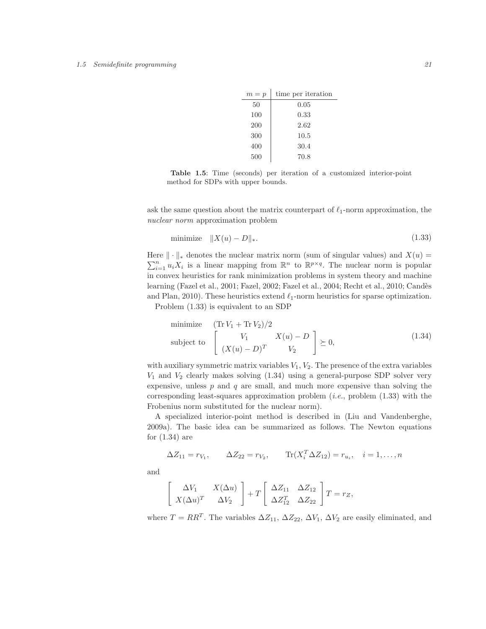| $m = p$ | time per iteration |
|---------|--------------------|
| 50      | 0.05               |
| 100     | 0.33               |
| 200     | 2.62               |
| 300     | 10.5               |
| 400     | 30.4               |
| 500     | 70.8               |

Table 1.5: Time (seconds) per iteration of a customized interior-point method for SDPs with upper bounds.

ask the same question about the matrix counterpart of  $\ell_1$ -norm approximation, the nuclear norm approximation problem

$$
\text{minimize} \quad \|X(u) - D\|_{*}.\tag{1.33}
$$

Here  $\|\cdot\|_*$  denotes the nuclear matrix norm (sum of singular values) and  $X(u) =$  $\sum_{i=1}^{n} u_i X_i$  is a linear mapping from  $\mathbb{R}^n$  to  $\mathbb{R}^{p \times q}$ . The nuclear norm is popular in convex heuristics for rank minimization problems in system theory and machine learning (Fazel et al., 2001; Fazel, 2002; Fazel et al., 2004; Recht et al., 2010; Candès and Plan, 2010). These heuristics extend  $\ell_1$ -norm heuristics for sparse optimization.

Problem (1.33) is equivalent to an SDP

minimize 
$$
(\text{Tr } V_1 + \text{Tr } V_2)/2
$$
  
\nsubject to 
$$
\begin{bmatrix} V_1 & X(u) - D \\ (X(u) - D)^T & V_2 \end{bmatrix} \succeq 0,
$$
\n(1.34)

with auxiliary symmetric matrix variables  $V_1, V_2$ . The presence of the extra variables  $V_1$  and  $V_2$  clearly makes solving  $(1.34)$  using a general-purpose SDP solver very expensive, unless  $p$  and  $q$  are small, and much more expensive than solving the corresponding least-squares approximation problem (i.e., problem (1.33) with the Frobenius norm substituted for the nuclear norm).

A specialized interior-point method is described in (Liu and Vandenberghe, 2009a). The basic idea can be summarized as follows. The Newton equations for (1.34) are

$$
\Delta Z_{11} = r_{V_1}, \qquad \Delta Z_{22} = r_{V_2}, \qquad \text{Tr}(X_i^T \Delta Z_{12}) = r_{u_i}, \quad i = 1, \dots, n
$$

and

$$
\begin{bmatrix}\n\Delta V_1 & X(\Delta u) \\
X(\Delta u)^T & \Delta V_2\n\end{bmatrix} + T \begin{bmatrix}\n\Delta Z_{11} & \Delta Z_{12} \\
\Delta Z_{12}^T & \Delta Z_{22}\n\end{bmatrix} T = r_Z,
$$

where  $T = RR^T$ . The variables  $\Delta Z_{11}$ ,  $\Delta Z_{22}$ ,  $\Delta V_1$ ,  $\Delta V_2$  are easily eliminated, and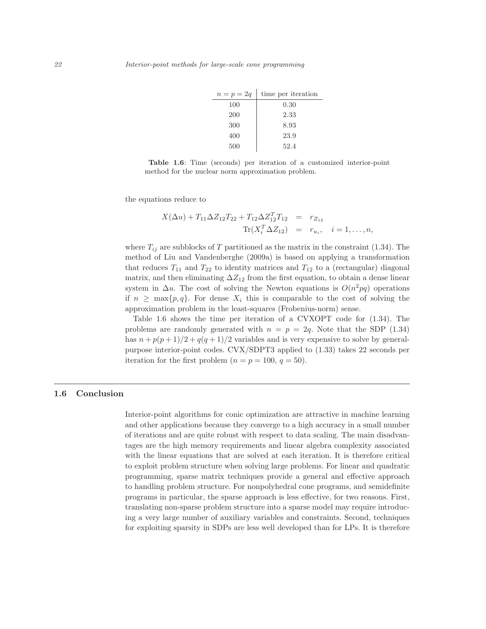| $n=p=2q$ | time per iteration |
|----------|--------------------|
| 100      | $0.30\,$           |
| 200      | 2.33               |
| 300      | 8.93               |
| 400      | 23.9               |
| 500      | 52.4               |

Table 1.6: Time (seconds) per iteration of a customized interior-point method for the nuclear norm approximation problem.

the equations reduce to

$$
X(\Delta u) + T_{11} \Delta Z_{12} T_{22} + T_{12} \Delta Z_{12}^T T_{12} = r_{Z_{12}}
$$
  
Tr $(X_i^T \Delta Z_{12}) = r_{u_i}, i = 1,...,n,$ 

where  $T_{ij}$  are subblocks of T partitioned as the matrix in the constraint (1.34). The method of Liu and Vandenberghe (2009a) is based on applying a transformation that reduces  $T_{11}$  and  $T_{22}$  to identity matrices and  $T_{12}$  to a (rectangular) diagonal matrix, and then eliminating  $\Delta Z_{12}$  from the first equation, to obtain a dense linear system in  $\Delta u$ . The cost of solving the Newton equations is  $O(n^2pq)$  operations if  $n \geq \max\{p, q\}$ . For dense  $X_i$  this is comparable to the cost of solving the approximation problem in the least-squares (Frobenius-norm) sense.

Table 1.6 shows the time per iteration of a CVXOPT code for (1.34). The problems are randomly generated with  $n = p = 2q$ . Note that the SDP (1.34) has  $n + p(p+1)/2 + q(q+1)/2$  variables and is very expensive to solve by generalpurpose interior-point codes. CVX/SDPT3 applied to (1.33) takes 22 seconds per iteration for the first problem  $(n = p = 100, q = 50)$ .

## 1.6 Conclusion

Interior-point algorithms for conic optimization are attractive in machine learning and other applications because they converge to a high accuracy in a small number of iterations and are quite robust with respect to data scaling. The main disadvantages are the high memory requirements and linear algebra complexity associated with the linear equations that are solved at each iteration. It is therefore critical to exploit problem structure when solving large problems. For linear and quadratic programming, sparse matrix techniques provide a general and effective approach to handling problem structure. For nonpolyhedral cone programs, and semidefinite programs in particular, the sparse approach is less effective, for two reasons. First, translating non-sparse problem structure into a sparse model may require introducing a very large number of auxiliary variables and constraints. Second, techniques for exploiting sparsity in SDPs are less well developed than for LPs. It is therefore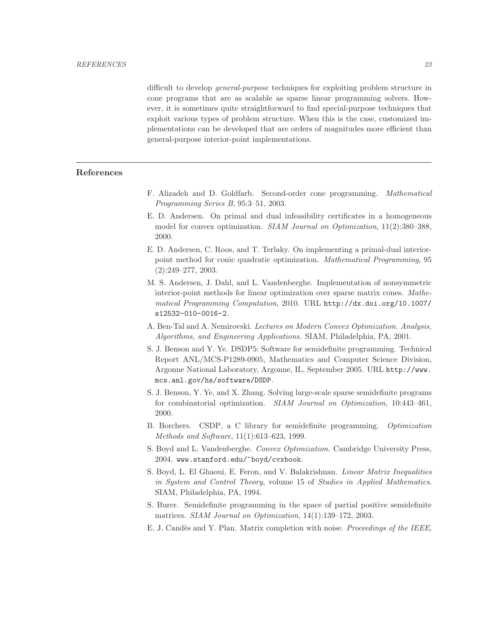difficult to develop general-purpose techniques for exploiting problem structure in cone programs that are as scalable as sparse linear programming solvers. However, it is sometimes quite straightforward to find special-purpose techniques that exploit various types of problem structure. When this is the case, customized implementations can be developed that are orders of magnitudes more efficient than general-purpose interior-point implementations.

# References

- F. Alizadeh and D. Goldfarb. Second-order cone programming. Mathematical Programming Series B, 95:3–51, 2003.
- E. D. Andersen. On primal and dual infeasibility certificates in a homogeneous model for convex optimization. *SIAM Journal on Optimization*, 11(2):380–388, 2000.
- E. D. Andersen, C. Roos, and T. Terlaky. On implementing a primal-dual interiorpoint method for conic quadratic optimization. Mathematical Programming, 95 (2):249–277, 2003.
- M. S. Andersen, J. Dahl, and L. Vandenberghe. Implementation of nonsymmetric interior-point methods for linear optimization over sparse matrix cones. Mathematical Programming Computation, 2010. URL http://dx.doi.org/10.1007/ s12532-010-0016-2.
- A. Ben-Tal and A. Nemirovski. Lectures on Modern Convex Optimization. Analysis, Algorithms, and Engineering Applications. SIAM, Philadelphia, PA, 2001.
- S. J. Benson and Y. Ye. DSDP5: Software for semidefinite programming. Technical Report ANL/MCS-P1289-0905, Mathematics and Computer Science Division, Argonne National Laboratory, Argonne, IL, September 2005. URL http://www. mcs.anl.gov/hs/software/DSDP.
- S. J. Benson, Y. Ye, and X. Zhang. Solving large-scale sparse semidefinite programs for combinatorial optimization. SIAM Journal on Optimization, 10:443–461, 2000.
- B. Borchers. CSDP, a C library for semidefinite programming. Optimization Methods and Software, 11(1):613–623, 1999.
- S. Boyd and L. Vandenberghe. Convex Optimization. Cambridge University Press, 2004. www.stanford.edu/~boyd/cvxbook.
- S. Boyd, L. El Ghaoui, E. Feron, and V. Balakrishnan. Linear Matrix Inequalities in System and Control Theory, volume 15 of Studies in Applied Mathematics. SIAM, Philadelphia, PA, 1994.
- S. Burer. Semidefinite programming in the space of partial positive semidefinite matrices. SIAM Journal on Optimization, 14(1):139–172, 2003.
- E. J. Candès and Y. Plan. Matrix completion with noise. *Proceedings of the IEEE*,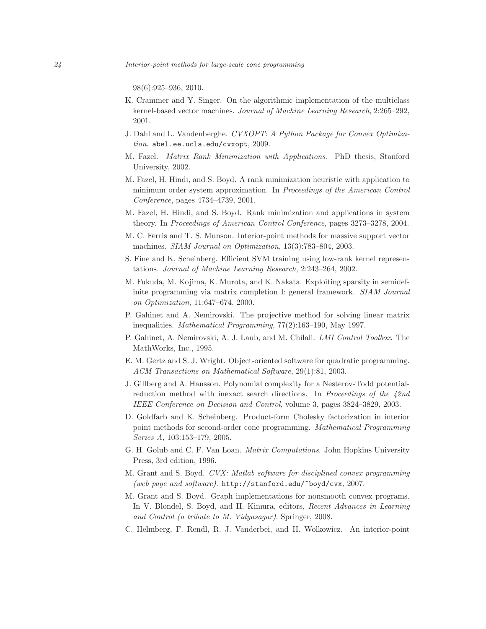24 Interior-point methods for large-scale cone programming

98(6):925–936, 2010.

- K. Crammer and Y. Singer. On the algorithmic implementation of the multiclass kernel-based vector machines. Journal of Machine Learning Research, 2:265–292, 2001.
- J. Dahl and L. Vandenberghe. CVXOPT: A Python Package for Convex Optimization. abel.ee.ucla.edu/cvxopt, 2009.
- M. Fazel. Matrix Rank Minimization with Applications. PhD thesis, Stanford University, 2002.
- M. Fazel, H. Hindi, and S. Boyd. A rank minimization heuristic with application to minimum order system approximation. In Proceedings of the American Control Conference, pages 4734–4739, 2001.
- M. Fazel, H. Hindi, and S. Boyd. Rank minimization and applications in system theory. In Proceedings of American Control Conference, pages 3273–3278, 2004.
- M. C. Ferris and T. S. Munson. Interior-point methods for massive support vector machines. SIAM Journal on Optimization, 13(3):783–804, 2003.
- S. Fine and K. Scheinberg. Efficient SVM training using low-rank kernel representations. Journal of Machine Learning Research, 2:243–264, 2002.
- M. Fukuda, M. Kojima, K. Murota, and K. Nakata. Exploiting sparsity in semidefinite programming via matrix completion I: general framework. SIAM Journal on Optimization, 11:647–674, 2000.
- P. Gahinet and A. Nemirovski. The projective method for solving linear matrix inequalities. Mathematical Programming, 77(2):163–190, May 1997.
- P. Gahinet, A. Nemirovski, A. J. Laub, and M. Chilali. LMI Control Toolbox. The MathWorks, Inc., 1995.
- E. M. Gertz and S. J. Wright. Object-oriented software for quadratic programming. ACM Transactions on Mathematical Software, 29(1):81, 2003.
- J. Gillberg and A. Hansson. Polynomial complexity for a Nesterov-Todd potentialreduction method with inexact search directions. In Proceedings of the 42nd IEEE Conference on Decision and Control, volume 3, pages 3824–3829, 2003.
- D. Goldfarb and K. Scheinberg. Product-form Cholesky factorization in interior point methods for second-order cone programming. Mathematical Programming Series A, 103:153–179, 2005.
- G. H. Golub and C. F. Van Loan. Matrix Computations. John Hopkins University Press, 3rd edition, 1996.
- M. Grant and S. Boyd. CVX: Matlab software for disciplined convex programming (web page and software). http://stanford.edu/~boyd/cvx, 2007.
- M. Grant and S. Boyd. Graph implementations for nonsmooth convex programs. In V. Blondel, S. Boyd, and H. Kimura, editors, Recent Advances in Learning and Control (a tribute to M. Vidyasagar). Springer, 2008.
- C. Helmberg, F. Rendl, R. J. Vanderbei, and H. Wolkowicz. An interior-point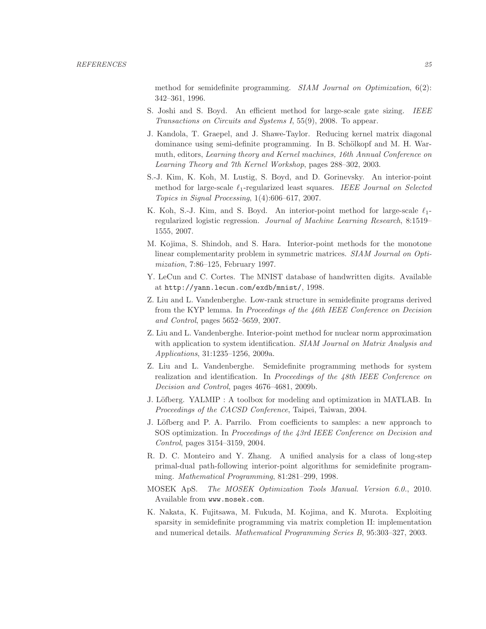method for semidefinite programming. SIAM Journal on Optimization, 6(2): 342–361, 1996.

- S. Joshi and S. Boyd. An efficient method for large-scale gate sizing. IEEE Transactions on Circuits and Systems I, 55(9), 2008. To appear.
- J. Kandola, T. Graepel, and J. Shawe-Taylor. Reducing kernel matrix diagonal dominance using semi-definite programming. In B. Schölkopf and M. H. Warmuth, editors, Learning theory and Kernel machines, 16th Annual Conference on Learning Theory and 7th Kernel Workshop, pages 288–302, 2003.
- S.-J. Kim, K. Koh, M. Lustig, S. Boyd, and D. Gorinevsky. An interior-point method for large-scale  $\ell_1$ -regularized least squares. IEEE Journal on Selected Topics in Signal Processing, 1(4):606–617, 2007.
- K. Koh, S.-J. Kim, and S. Boyd. An interior-point method for large-scale  $\ell_1$ regularized logistic regression. Journal of Machine Learning Research, 8:1519– 1555, 2007.
- M. Kojima, S. Shindoh, and S. Hara. Interior-point methods for the monotone linear complementarity problem in symmetric matrices. SIAM Journal on Optimization, 7:86–125, February 1997.
- Y. LeCun and C. Cortes. The MNIST database of handwritten digits. Available at http://yann.lecun.com/exdb/mnist/, 1998.
- Z. Liu and L. Vandenberghe. Low-rank structure in semidefinite programs derived from the KYP lemma. In Proceedings of the 46th IEEE Conference on Decision and Control, pages 5652–5659, 2007.
- Z. Liu and L. Vandenberghe. Interior-point method for nuclear norm approximation with application to system identification. SIAM Journal on Matrix Analysis and Applications, 31:1235–1256, 2009a.
- Z. Liu and L. Vandenberghe. Semidefinite programming methods for system realization and identification. In Proceedings of the 48th IEEE Conference on Decision and Control, pages 4676–4681, 2009b.
- J. Löfberg. YALMIP : A toolbox for modeling and optimization in MATLAB. In Proceedings of the CACSD Conference, Taipei, Taiwan, 2004.
- J. Löfberg and P. A. Parrilo. From coefficients to samples: a new approach to SOS optimization. In Proceedings of the 43rd IEEE Conference on Decision and Control, pages 3154–3159, 2004.
- R. D. C. Monteiro and Y. Zhang. A unified analysis for a class of long-step primal-dual path-following interior-point algorithms for semidefinite programming. Mathematical Programming, 81:281–299, 1998.
- MOSEK ApS. The MOSEK Optimization Tools Manual. Version 6.0., 2010. Available from www.mosek.com.
- K. Nakata, K. Fujitsawa, M. Fukuda, M. Kojima, and K. Murota. Exploiting sparsity in semidefinite programming via matrix completion II: implementation and numerical details. Mathematical Programming Series B, 95:303–327, 2003.